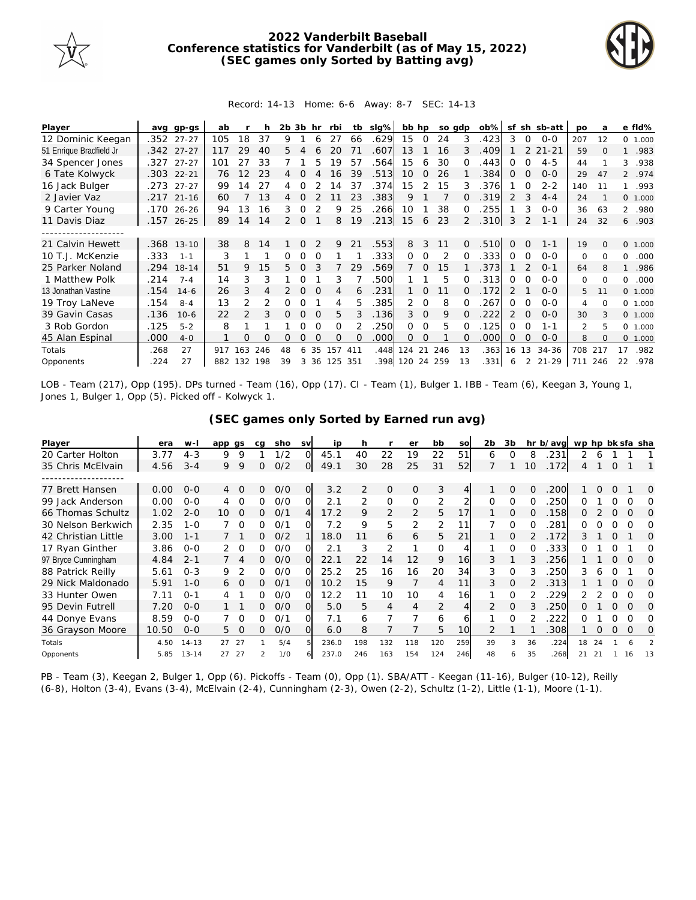

## **2022 Vanderbilt Baseball Conference statistics for Vanderbilt (as of May 15, 2022) (SEC games only Sorted by Batting avg)**



## Record: 14-13 Home: 6-6 Away: 8-7 SEC: 14-13

| Player                  | avg  | gp-gs        | ab  |                 |     | 2b            | 3b       | hr       | rbi      | tb       | $slq\%$ | bb hp           |          |               | so adp   | $ob\%$ | sf           |               | sh sb-att | po             | a        |              | e fld%   |
|-------------------------|------|--------------|-----|-----------------|-----|---------------|----------|----------|----------|----------|---------|-----------------|----------|---------------|----------|--------|--------------|---------------|-----------|----------------|----------|--------------|----------|
| 12 Dominic Keegan       |      | .352 27-27   | 105 | 18              | 37  | 9             |          | 6        | 27       | 66       | .629    | 15              | $\Omega$ | 24            | 3        | .423   | 3            | 0             | $O - O$   | 207            | 12       |              | 0 1.000  |
| 51 Enrique Bradfield Jr |      | .342 27-27   | 117 | 29              | 40  | 5.            |          |          | 20       | 71       | .607    | 13              |          | 16            | 3        | .409   |              |               | $21 - 21$ | 59             | $\Omega$ | $\mathbf{1}$ | .983     |
| 34 Spencer Jones        | .327 | $27 - 27$    | 101 | 27              | 33  |               |          | 5        | 19       | 57       | .564    | 15              | 6        | 30            | ∩        | .443   | 0            | $\Omega$      | $4 - 5$   | 44             |          | 3            | .938     |
| 6 Tate Kolwyck          | .303 | $22 - 21$    | 76  | 12 <sup>°</sup> | 23  | 4             |          |          | 16       | 39       | .513    | 10 <sup>1</sup> | $\Omega$ | 26            |          | 384    | $\Omega$     | $\Omega$      | $0 - 0$   | 29             | 47       |              | 2 .974   |
| 16 Jack Bulger          | .273 | $27 - 27$    | 99  | 14              | 27  | 4             | Ω        |          | 14       | 37       | .374    | 15              |          | 15            | 3        | .376   |              | 0             | $2 - 2$   | 140            | 11       |              | 1.993    |
| 2 Javier Vaz            |      | $.217$ 21-16 | 60  |                 | 13  | 4             | Ω        |          |          | 23       | .383    | 9               |          |               |          | .319   | 2            | 3             | $4 - 4$   | 24             |          |              | 0, 1,000 |
| 9 Carter Young          | .170 | 26-26        | 94  | 13              | 16  | 3             | 0        |          | 9        | 25       | .266    | 10              |          | 38            | 0        | 255    |              | 3             | $O - O$   | 36             | 63       |              | 2 .980   |
| 11 Davis Diaz           | .157 | $26 - 25$    | 89  | 14              | 14  | $\mathcal{P}$ | $\Omega$ |          | 8        | 19       | .213    | 15              | 6        | 23            |          | .310   | 3            |               | $1 - 1$   | 24             | 32       |              | 6.903    |
|                         |      |              |     |                 |     |               |          |          |          |          |         |                 |          |               |          |        |              |               |           |                |          |              |          |
| 21 Calvin Hewett        | .368 | $13 - 10$    | 38  | 8               | 14  |               | $\Omega$ |          | 9        | 21       | .553    | 8               | 3        | 11            | $\Omega$ | .510   | $\Omega$     | $\Omega$      | $1 - 1$   | 19             | $\Omega$ |              | 0 1.000  |
| 10 T.J. McKenzie        | .333 | $1 - 1$      | 3   |                 |     | 0             | 0        | $\Omega$ |          |          | .333    | $\Omega$        | $\Omega$ | $\mathcal{P}$ | $\Omega$ | .333   | 0            | $\Omega$      | $0 - 0$   | $\Omega$       | $\Omega$ | $\Omega$     | .000     |
| 25 Parker Noland        | .294 | $18 - 14$    | 51  | 9               | 15  | 5.            | $\Omega$ |          |          | 29       | .569    |                 | $\Omega$ | 15            |          | 373    |              |               | $O - 1$   | 64             | 8        | $\mathbf{1}$ | .986     |
| 1 Matthew Polk          | .214 | $7 - 4$      | 14  | 3               | 3   |               | Ω        |          | 3        |          | .500    |                 |          | 5             | ∩        | 313    | 0            | $\Omega$      | $0 - 0$   | 0              | $\Omega$ | $\Omega$     | .000     |
| 13 Jonathan Vastine     | .154 | $14-6$       | 26  | 3               |     |               | $\Omega$ | $\Omega$ | 4        | 6        | .231    |                 | $\Omega$ | 11            | 0        | .172   | 2            |               | $0 - 0$   | 5              | 11       |              | 0 1.000  |
| 19 Troy LaNeve          | .154 | $8 - 4$      | 13  | $\mathcal{P}$   | 2   | 0             | 0        |          | 4        | 5.       | .385    | 2               | $\Omega$ | 8             | O.       | 267    | <sup>o</sup> | $\Omega$      | $O - O$   | 4              | $\Omega$ |              | 0 1.000  |
| 39 Gavin Casas          | .136 | $10-6$       | 22  | $\mathcal{P}$   | 3   | 0             | $\Omega$ | $\Omega$ | 5        | 3        | .136    | 3               | $\Omega$ | 9             | $\Omega$ | 222    | 2            | $\Omega$      | $0 - 0$   | 30             | 3        |              | 0 1.000  |
| 3 Rob Gordon            | .125 | $5 - 2$      | 8   |                 |     |               | 0        | ∩        | $\Omega$ |          | 250     | 0               | ∩        | 5             | O        | 125    | 0            | ∩             | 1-1       | $\mathfrak{D}$ | 5        |              | 0 1.000  |
| 45 Alan Espinal         | .000 | $4-0$        |     | Ω               | Ω   | Ω             | O        | $\Omega$ | $\Omega$ | $\Omega$ | .000    | 0               | 0        |               | $\Omega$ | .000   | 0            | $\Omega$      | $0 - 0$   | 8              | $\Omega$ |              | 0 1.000  |
| Totals                  | .268 | 27           | 917 | 163             | 246 | 48            | 6        | 35       | 157      | 411      | .448    | 124 21          |          | 246           | 13       | .363   | 16           | 13            | $34 - 36$ | 708            | 217      | 17           | .982     |
| Opponents               | .224 | 27           | 882 | 132             | 198 | 39            | 3        | 36       | 125      | 351      | .398    | 120 24          |          | 259           | 13       | .331   | 6            | $\mathcal{L}$ | $21 - 29$ | 711            | 246      | 22           | .978     |

LOB - Team (217), Opp (195). DPs turned - Team (16), Opp (17). CI - Team (1), Bulger 1. IBB - Team (6), Keegan 3, Young 1, Jones 1, Bulger 1, Opp (5). Picked off - Kolwyck 1.

| (SEC games only Sorted by Earned run avg) |
|-------------------------------------------|
|-------------------------------------------|

| Player              | era   | $W -$     | app gs           |          | ca | sho | <b>SV</b>      | ip    | h              |               | er       | bb  | SO                       | 2 <sub>b</sub> | 3b       |          | hr b/avg | wp hp bk sfa sha |          |          |          |          |
|---------------------|-------|-----------|------------------|----------|----|-----|----------------|-------|----------------|---------------|----------|-----|--------------------------|----------------|----------|----------|----------|------------------|----------|----------|----------|----------|
| 20 Carter Holton    | 3.77  | $4 - 3$   | 9                | 9        |    | 1/2 | 0.             | 45.1  | 40             | 22            | 19       | 22  | 51                       | 6              | $\Omega$ | 8        | 231      | 2.               | 6        |          |          |          |
| 35 Chris McElvain   | 4.56  | $3 - 4$   | 9                | 9        | 0  | O/2 | ΟI             | 49.1  | 30             | 28            | 25       | 31  | 52                       |                |          | 10       | .172     | 4                |          | Ω        |          |          |
|                     |       |           |                  |          |    |     |                |       |                |               |          |     |                          |                |          |          |          |                  |          |          |          |          |
| 77 Brett Hansen     | 0.00  | $0 - 0$   | $4 \overline{ }$ | $\Omega$ | 0  | O/O | 0              | 3.2   | $\overline{2}$ | $\mathcal{O}$ | $\circ$  | 3   | 4 <sup>1</sup>           |                | 0        | $\Omega$ | 200      |                  | $\Omega$ | $\Omega$ |          | $\Omega$ |
| 99 Jack Anderson    | 0.00  | $O-O$     | 4                | $\Omega$ | 0  | O/O | O.             | 2.1   | 2              | 0             | $\Omega$ | 2   | $\overline{\mathcal{L}}$ | $\Omega$       | $\Omega$ | O        | 250      | O                |          |          | Ω        | Ω        |
| 66 Thomas Schultz   | 1.02  | $2 - 0$   | 10               | 0        | Ω  | O/1 | $\overline{4}$ | 17.2  | 9              | 2             | 2        | 5   | 17                       |                | 0        | $\Omega$ | 158      | Ω                |          | 0        | O        | 0        |
| 30 Nelson Berkwich  | 2.35  | $1 - 0$   |                  | $\Omega$ | O  | O/1 | വ              | 7.2   | 9              | 5             | 2        | 2   | 11                       |                | $\Omega$ | $\Omega$ | 281      | 0                |          | O        | Ω        | O        |
| 42 Christian Little | 3.00  | $1 - 1$   |                  |          | Ω  | O/2 |                | 18.0  | 11             | 6             | 6        | 5   | 21                       |                | $\Omega$ |          | .172     | 3.               |          | Ω        |          | $\Omega$ |
| 17 Ryan Ginther     | 3.86  | $0 - 0$   |                  | 0        | 0  | O/O | ΩI             | 2.1   | 3              | 2             |          | O   |                          |                | O        |          | 333      | O                |          | O        |          | O        |
| 97 Bryce Cunningham | 4.84  | $2 - 1$   |                  |          | 0  | O/O | O.             | 22.1  | 22             | 14            | 12       | 9   | 16                       | 3              |          |          | 256      |                  |          | O        | $\Omega$ | $\Omega$ |
| 88 Patrick Reilly   | 5.61  | $0 - 3$   | 9                |          | O  | O/O | 0.             | 25.2  | 25             | 16            | 16       | 20  | 34                       | 3              | $\Omega$ |          | 250      | 3                | h        |          |          | O        |
| 29 Nick Maldonado   | 5.91  | $1 - 0$   | 6                | $\Omega$ | 0  | 0/1 | $\Omega$       | 10.2  | 15             | 9             |          | 4   | 11                       | 3              | 0        |          | 313      |                  |          | Ω        | O        | $\Omega$ |
| 33 Hunter Owen      | 7.11  | $O - 1$   | 4                |          | ∩  | O/O | 0.             | 12.2  | 11             | 10            | 10       | 4   | 16                       |                | $\Omega$ |          | 229      |                  |          | ∩        | ∩        | Ω        |
| 95 Devin Futrell    | 7.20  | $0 - 0$   |                  |          | 0  | O/O | ΩL             | 5.0   | 5.             | 4             | 4        | 2   | 4                        | 2              | $\Omega$ |          | .250     | 0                |          | Ω        | $\Omega$ | 0        |
| 44 Donye Evans      | 8.59  | $0 - 0$   |                  | - 0      | 0  | 0/1 | O.             | 7.1   | 6              |               |          | 6   | 6                        |                | $\Omega$ |          | 222      | O                |          |          | ∩        | 0        |
| 36 Grayson Moore    | 10.50 | $0 - 0$   | 5.               | 0        | Ω  | O/O | O.             | 6.0   | 8              |               |          | 5   | 10 <sub>l</sub>          |                |          |          | 308      |                  | 0        | 0        | 0        | 0        |
| Totals              | 4.50  | $14 - 13$ | 27               | 27       |    | 5/4 |                | 236.0 | 198            | 132           | 118      | 120 | 259                      | 39             | 3        | 36       | .224     | 18               | 24       |          |          |          |
| Opponents           | 5.85  | $13 - 14$ | 27               | 27       |    | 1/0 |                | 237.0 | 246            | 163           | 154      | 124 | 246                      | 48             | Ь        | 35       | 268      | 21               | 21       |          | 16       | 13       |

PB - Team (3), Keegan 2, Bulger 1, Opp (6). Pickoffs - Team (0), Opp (1). SBA/ATT - Keegan (11-16), Bulger (10-12), Reilly (6-8), Holton (3-4), Evans (3-4), McElvain (2-4), Cunningham (2-3), Owen (2-2), Schultz (1-2), Little (1-1), Moore (1-1).